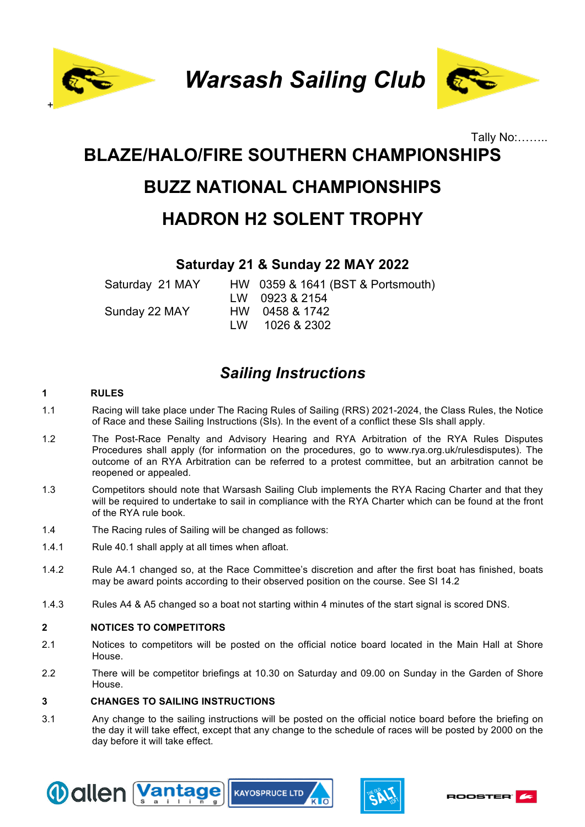

*Warsash Sailing Club*



# Tally No:…….. **BLAZE/HALO/FIRE SOUTHERN CHAMPIONSHIPS BUZZ NATIONAL CHAMPIONSHIPS HADRON H2 SOLENT TROPHY**

## **Saturday 21 & Sunday 22 MAY 2022**

Saturday 21 MAY HW 0359 & 1641 (BST & Portsmouth) LW 0923 & 2154 Sunday 22 MAY HW 0458 & 1742 LW 1026 & 2302

## *Sailing Instructions*

#### **1 RULES**

- 1.1 Racing will take place under The Racing Rules of Sailing (RRS) 2021-2024, the Class Rules, the Notice of Race and these Sailing Instructions (SIs). In the event of a conflict these SIs shall apply.
- 1.2 The Post-Race Penalty and Advisory Hearing and RYA Arbitration of the RYA Rules Disputes Procedures shall apply (for information on the procedures, go to www.rya.org.uk/rulesdisputes). The outcome of an RYA Arbitration can be referred to a protest committee, but an arbitration cannot be reopened or appealed.
- 1.3 Competitors should note that Warsash Sailing Club implements the RYA Racing Charter and that they will be required to undertake to sail in compliance with the RYA Charter which can be found at the front of the RYA rule book.
- 1.4 The Racing rules of Sailing will be changed as follows:
- 1.4.1 Rule 40.1 shall apply at all times when afloat.
- 1.4.2 Rule A4.1 changed so, at the Race Committee's discretion and after the first boat has finished, boats may be award points according to their observed position on the course. See SI 14.2
- 1.4.3 Rules A4 & A5 changed so a boat not starting within 4 minutes of the start signal is scored DNS.

#### **2 NOTICES TO COMPETITORS**

- 2.1 Notices to competitors will be posted on the official notice board located in the Main Hall at Shore House.
- 2.2 There will be competitor briefings at 10.30 on Saturday and 09.00 on Sunday in the Garden of Shore House.

#### **3 CHANGES TO SAILING INSTRUCTIONS**

3.1 Any change to the sailing instructions will be posted on the official notice board before the briefing on the day it will take effect, except that any change to the schedule of races will be posted by 2000 on the day before it will take effect.







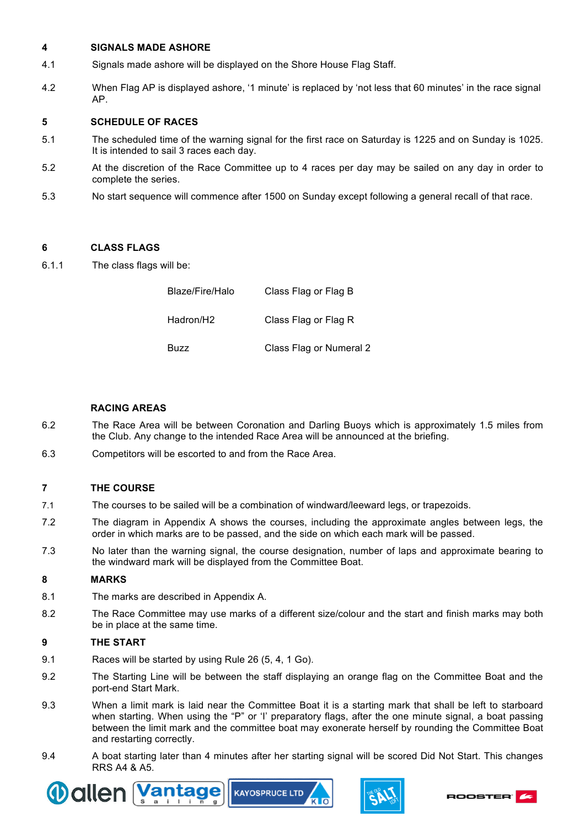#### **4 SIGNALS MADE ASHORE**

- 4.1 Signals made ashore will be displayed on the Shore House Flag Staff.
- 4.2 When Flag AP is displayed ashore, '1 minute' is replaced by 'not less that 60 minutes' in the race signal AP.

#### **5 SCHEDULE OF RACES**

- 5.1 The scheduled time of the warning signal for the first race on Saturday is 1225 and on Sunday is 1025. It is intended to sail 3 races each day.
- 5.2 At the discretion of the Race Committee up to 4 races per day may be sailed on any day in order to complete the series.
- 5.3 No start sequence will commence after 1500 on Sunday except following a general recall of that race.

#### **6 CLASS FLAGS**

6.1.1 The class flags will be:

| Blaze/Fire/Halo | Class Flag or Flag B    |
|-----------------|-------------------------|
| Hadron/H2       | Class Flag or Flag R    |
| Buzz            | Class Flag or Numeral 2 |

#### **RACING AREAS**

- 6.2 The Race Area will be between Coronation and Darling Buoys which is approximately 1.5 miles from the Club. Any change to the intended Race Area will be announced at the briefing.
- 6.3 Competitors will be escorted to and from the Race Area.

#### **7 THE COURSE**

- 7.1 The courses to be sailed will be a combination of windward/leeward legs, or trapezoids.
- 7.2 The diagram in Appendix A shows the courses, including the approximate angles between legs, the order in which marks are to be passed, and the side on which each mark will be passed.
- 7.3 No later than the warning signal, the course designation, number of laps and approximate bearing to the windward mark will be displayed from the Committee Boat.

#### **8 MARKS**

- 8.1 The marks are described in Appendix A.
- 8.2 The Race Committee may use marks of a different size/colour and the start and finish marks may both be in place at the same time.

#### **9 THE START**

- 9.1 Races will be started by using Rule 26 (5, 4, 1 Go).
- 9.2 The Starting Line will be between the staff displaying an orange flag on the Committee Boat and the port-end Start Mark.
- 9.3 When a limit mark is laid near the Committee Boat it is a starting mark that shall be left to starboard when starting. When using the "P" or 'I' preparatory flags, after the one minute signal, a boat passing between the limit mark and the committee boat may exonerate herself by rounding the Committee Boat and restarting correctly.
- 9.4 A boat starting later than 4 minutes after her starting signal will be scored Did Not Start. This changes RRS A4 & A5.





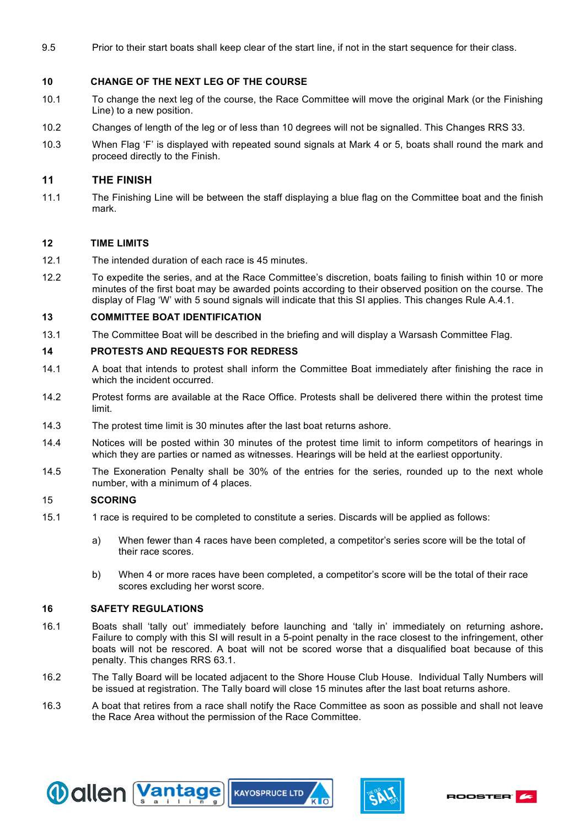9.5 Prior to their start boats shall keep clear of the start line, if not in the start sequence for their class.

#### **10 CHANGE OF THE NEXT LEG OF THE COURSE**

- 10.1 To change the next leg of the course, the Race Committee will move the original Mark (or the Finishing Line) to a new position.
- 10.2 Changes of length of the leg or of less than 10 degrees will not be signalled. This Changes RRS 33.
- 10.3 When Flag 'F' is displayed with repeated sound signals at Mark 4 or 5, boats shall round the mark and proceed directly to the Finish.

#### **11 THE FINISH**

11.1 The Finishing Line will be between the staff displaying a blue flag on the Committee boat and the finish mark.

#### **12 TIME LIMITS**

- 12.1 The intended duration of each race is 45 minutes.
- 12.2 To expedite the series, and at the Race Committee's discretion, boats failing to finish within 10 or more minutes of the first boat may be awarded points according to their observed position on the course. The display of Flag 'W' with 5 sound signals will indicate that this SI applies. This changes Rule A.4.1.

#### **13 COMMITTEE BOAT IDENTIFICATION**

13.1 The Committee Boat will be described in the briefing and will display a Warsash Committee Flag.

#### **14 PROTESTS AND REQUESTS FOR REDRESS**

- 14.1 A boat that intends to protest shall inform the Committee Boat immediately after finishing the race in which the incident occurred.
- 14.2 Protest forms are available at the Race Office. Protests shall be delivered there within the protest time limit.
- 14.3 The protest time limit is 30 minutes after the last boat returns ashore.
- 14.4 Notices will be posted within 30 minutes of the protest time limit to inform competitors of hearings in which they are parties or named as witnesses. Hearings will be held at the earliest opportunity.
- 14.5 The Exoneration Penalty shall be 30% of the entries for the series, rounded up to the next whole number, with a minimum of 4 places.

#### 15 **SCORING**

- 15.1 1 race is required to be completed to constitute a series. Discards will be applied as follows:
	- a) When fewer than 4 races have been completed, a competitor's series score will be the total of their race scores.
	- b) When 4 or more races have been completed, a competitor's score will be the total of their race scores excluding her worst score.

#### **16 SAFETY REGULATIONS**

- 16.1 Boats shall 'tally out' immediately before launching and 'tally in' immediately on returning ashore**.** Failure to comply with this SI will result in a 5-point penalty in the race closest to the infringement, other boats will not be rescored. A boat will not be scored worse that a disqualified boat because of this penalty. This changes RRS 63.1.
- 16.2 The Tally Board will be located adjacent to the Shore House Club House. Individual Tally Numbers will be issued at registration. The Tally board will close 15 minutes after the last boat returns ashore.
- 16.3 A boat that retires from a race shall notify the Race Committee as soon as possible and shall not leave the Race Area without the permission of the Race Committee.





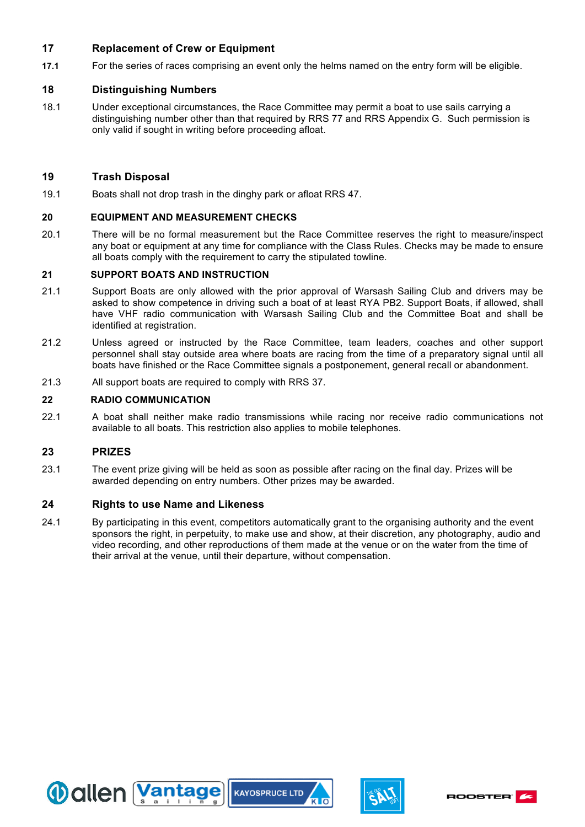#### **17 Replacement of Crew or Equipment**

**17.1** For the series of races comprising an event only the helms named on the entry form will be eligible.

#### **18 Distinguishing Numbers**

18.1 Under exceptional circumstances, the Race Committee may permit a boat to use sails carrying a distinguishing number other than that required by RRS 77 and RRS Appendix G. Such permission is only valid if sought in writing before proceeding afloat.

#### **19 Trash Disposal**

19.1 Boats shall not drop trash in the dinghy park or afloat RRS 47.

#### **20 EQUIPMENT AND MEASUREMENT CHECKS**

20.1 There will be no formal measurement but the Race Committee reserves the right to measure/inspect any boat or equipment at any time for compliance with the Class Rules. Checks may be made to ensure all boats comply with the requirement to carry the stipulated towline.

#### **21 SUPPORT BOATS AND INSTRUCTION**

- 21.1 Support Boats are only allowed with the prior approval of Warsash Sailing Club and drivers may be asked to show competence in driving such a boat of at least RYA PB2. Support Boats, if allowed, shall have VHF radio communication with Warsash Sailing Club and the Committee Boat and shall be identified at registration.
- 21.2 Unless agreed or instructed by the Race Committee, team leaders, coaches and other support personnel shall stay outside area where boats are racing from the time of a preparatory signal until all boats have finished or the Race Committee signals a postponement, general recall or abandonment.
- 21.3 All support boats are required to comply with RRS 37.

#### **22 RADIO COMMUNICATION**

22.1 A boat shall neither make radio transmissions while racing nor receive radio communications not available to all boats. This restriction also applies to mobile telephones.

#### **23 PRIZES**

23.1 The event prize giving will be held as soon as possible after racing on the final day. Prizes will be awarded depending on entry numbers. Other prizes may be awarded.

#### **24 Rights to use Name and Likeness**

24.1 By participating in this event, competitors automatically grant to the organising authority and the event sponsors the right, in perpetuity, to make use and show, at their discretion, any photography, audio and video recording, and other reproductions of them made at the venue or on the water from the time of their arrival at the venue, until their departure, without compensation.